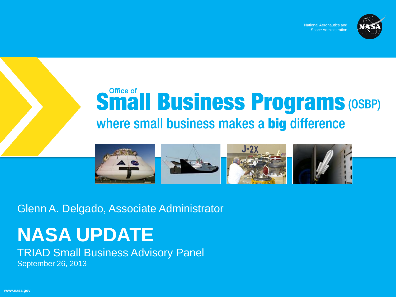

National Aeronautics and Space Administration

# **Small Business Programs (OSBP)** where small business makes a big difference



Glenn A. Delgado, Associate Administrator

# **NASA UPDATE**

TRIAD Small Business Advisory Panel

September 26, 2013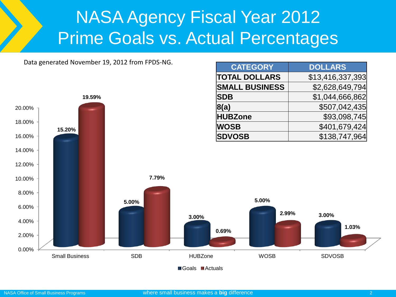#### NASA Agency Fiscal Year 2012 Prime Goals vs. Actual Percentages

**CATEGORY DOLLARS TOTAL DOLLARS** | \$13,416,337,393

Data generated November 19, 2012 from FPDS-NG.



**A**Goals **Actuals**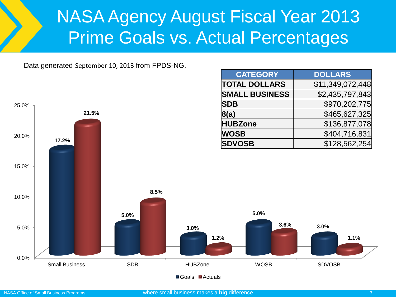#### NASA Agency August Fiscal Year 2013 Prime Goals vs. Actual Percentages

**CATEGORY DOLLARS**

Data generated September 10, 2013 from FPDS-NG.

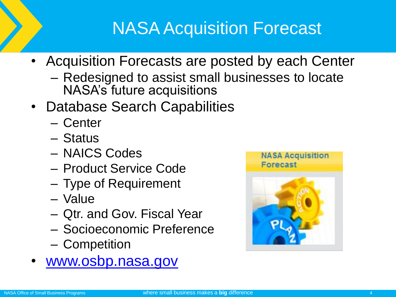- Acquisition Forecasts are posted by each Center
	- Redesigned to assist small businesses to locate NASA's future acquisitions
- Database Search Capabilities
	- Center
	- Status
	- NAICS Codes
	- Product Service Code
	- Type of Requirement
	- Value
	- Qtr. and Gov. Fiscal Year
	- Socioeconomic Preference
	- Competition
- [www.osbp.nasa.gov](http://www.osbp.nasa.gov/)

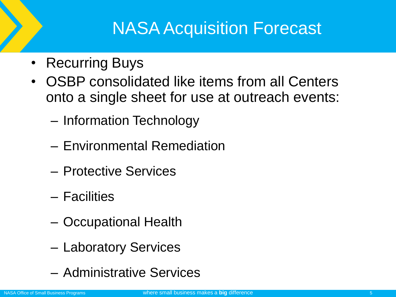- Recurring Buys
- OSBP consolidated like items from all Centers onto a single sheet for use at outreach events:
	- Information Technology
	- Environmental Remediation
	- Protective Services
	- Facilities
	- Occupational Health
	- Laboratory Services
	- Administrative Services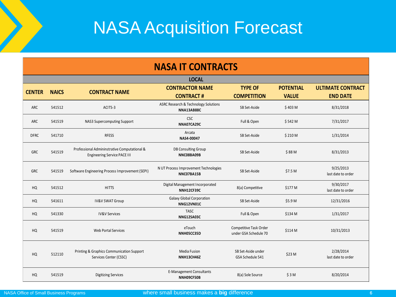| <b>NASA IT CONTRACTS</b> |              |                                                                                     |                                                     |                                                 |                                  |                                             |  |
|--------------------------|--------------|-------------------------------------------------------------------------------------|-----------------------------------------------------|-------------------------------------------------|----------------------------------|---------------------------------------------|--|
|                          | <b>LOCAL</b> |                                                                                     |                                                     |                                                 |                                  |                                             |  |
| <b>CENTER</b>            | <b>NAICS</b> | <b>CONTRACT NAME</b>                                                                | <b>CONTRACTOR NAME</b><br><b>CONTRACT#</b>          | <b>TYPE OF</b><br><b>COMPETITION</b>            | <b>POTENTIAL</b><br><b>VALUE</b> | <b>ULTIMATE CONTRACT</b><br><b>END DATE</b> |  |
| ARC                      | 541512       | ACITS-3                                                                             | ASRC Research & Technology Solutions<br>NNA13AB88C  | SB Set-Aside                                    | \$403 M                          | 8/31/2018                                   |  |
| <b>ARC</b>               | 541519       | NAS3 Supercomputing Support                                                         | <b>CSC</b><br>NNA07CA29C                            | Full & Open                                     | \$542 M                          | 7/31/2017                                   |  |
| <b>DFRC</b>              | 541710       | <b>RFESS</b>                                                                        | Arcata<br>NAS4-00047                                | SB Set-Aside                                    | \$210 M                          | 1/31/2014                                   |  |
| <b>GRC</b>               | 541519       | Professional Admininstrative Computational &<br><b>Engineering Service PACE III</b> | <b>DB Consulting Group</b><br>NNC08BA09B            | SB Set-Aside                                    | \$88M                            | 8/31/2013                                   |  |
| <b>GRC</b>               | 541519       | Software Engineering Process Improvement (SEPI)                                     | N UT Process Improvement Technologies<br>NNC07BA15B | SB Set-Aside                                    | \$7.5 M                          | 9/25/2013<br>last date to order             |  |
| HQ                       | 541512       | <b>HITTS</b>                                                                        | Digital Management Incorporated<br>NNH12CF39C       | 8(a) Competitive                                | \$177 M                          | 9/30/2017<br>last date to order             |  |
| HQ                       | 541611       | <b>IV&amp;V SWAT Group</b>                                                          | <b>Galaxy Global Corporation</b><br>NNG12VN01C      | SB Set-Aside                                    | \$5.9 M                          | 12/31/2016                                  |  |
| HQ                       | 541330       | <b>IV&amp;V Services</b>                                                            | <b>TASC</b><br>NNG12SA03C                           | Full & Open                                     | \$134 M                          | 1/31/2017                                   |  |
| HQ                       | 541519       | <b>Web Portal Services</b>                                                          | eTouch<br>NNH05CC35D                                | Competitive Task Order<br>under GSA Schedule 70 | \$114 M                          | 10/31/2013                                  |  |
| HQ                       | 512110       | Printing & Graphics Communication Support<br>Services Center (CSSC)                 | <b>Media Fusion</b><br>NNH13CH46Z                   | SB Set-Aside under<br>GSA Schedule 541          | \$23 M                           | 2/28/2014<br>last date to order             |  |
| HQ                       | 541519       | <b>Digitizing Services</b>                                                          | <b>E-Management Consultants</b><br>NNH09CF50B       | 8(a) Sole Source                                | \$3M                             | 8/20/2014                                   |  |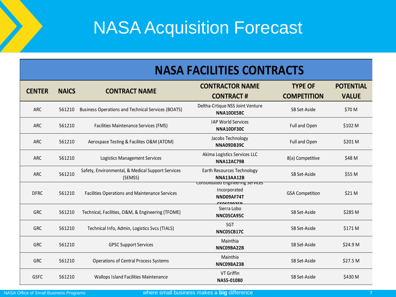#### **NASA FACILITIES CONTRACTS**

| <b>CENTER</b> | <b>NAICS</b> | <b>CONTRACT NAME</b>                                         | <b>CONTRACTOR NAME</b>                                                        | <b>TYPE OF</b>         | <b>POTENTIAL</b> |
|---------------|--------------|--------------------------------------------------------------|-------------------------------------------------------------------------------|------------------------|------------------|
|               |              |                                                              | <b>CONTRACT#</b>                                                              | <b>COMPETITION</b>     | <b>VALUE</b>     |
| <b>ARC</b>    | 561210       | <b>Business Operations and Technical Services (BOATS)</b>    | Deltha-Crtique NSS Joint Venture<br>NNA10DE58C                                | SB Set-Aside           | \$70 M           |
| <b>ARC</b>    | 561210       | <b>Facilities Maintenance Services (FMS)</b>                 | <b>IAP World Services</b><br>NNA10DF30C                                       | Full and Open          | \$102 M          |
| <b>ARC</b>    | 561210       | Aerospace Testing & Facilites O&M (ATOM)                     | Jacobs Technology<br>NNA09DB39C                                               | Full and Open          | \$201 M          |
| <b>ARC</b>    | 561210       | Logistics Management Services                                | Akima Logistics Services LLC<br><b>NNA12AC79B</b>                             | 8(a) Competitive       | \$48 M           |
| <b>ARC</b>    | 561210       | Safety, Environmental, & Medical Support Services<br>(SEMSS) | Earth Resources Technology<br>NNA13AA12B                                      | SB Set-Aside           | \$55 M           |
| <b>DFRC</b>   | 561210       | Facilities Operations and Maintenance Services               | Consolidated Engineering Services<br>Incorporated<br>NND09AF74T<br>CCACCAASER | <b>GSA Competition</b> | \$21 M           |
| <b>GRC</b>    | 561210       | Technical, Facilities, O&M, & Engineering (TFOME)            | Sierra Lobo<br>NNC05CA95C                                                     | SB Set-Aside           | \$285 M          |
| <b>GRC</b>    | 561210       | Technical Info, Admin, Logistics Svcs (TIALS)                | <b>SGT</b><br>NNC05CB17C                                                      | SB Set-Aside           | \$171 M          |
| <b>GRC</b>    | 561210       | <b>GPSC Support Services</b>                                 | Mainthia<br>NNC09BA22B                                                        | SB Set-Aside           | \$24.9 M         |
| <b>GRC</b>    | 561210       | <b>Operations of Central Process Systems</b>                 | Mainthia<br>NNC09BA23B                                                        | SB Set-Aside           | \$27.5 M         |
| <b>GSFC</b>   | 561210       | <b>Wallops Island Facilities Maintenance</b>                 | VT Griffin<br>NAS5-01080                                                      | SB Set-Aside           | \$430 M          |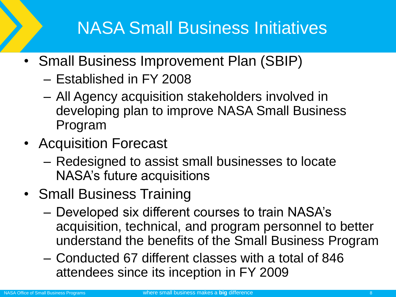## NASA Small Business Initiatives

- Small Business Improvement Plan (SBIP)
	- Established in FY 2008
	- All Agency acquisition stakeholders involved in developing plan to improve NASA Small Business Program
- Acquisition Forecast
	- Redesigned to assist small businesses to locate NASA's future acquisitions
- Small Business Training
	- Developed six different courses to train NASA's acquisition, technical, and program personnel to better understand the benefits of the Small Business Program
	- Conducted 67 different classes with a total of 846 attendees since its inception in FY 2009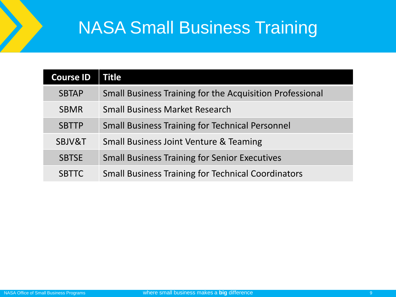#### NASA Small Business Training

| <b>Course ID</b> | Title                                                           |
|------------------|-----------------------------------------------------------------|
| <b>SBTAP</b>     | <b>Small Business Training for the Acquisition Professional</b> |
| <b>SBMR</b>      | <b>Small Business Market Research</b>                           |
| <b>SBTTP</b>     | <b>Small Business Training for Technical Personnel</b>          |
| SBJV&T           | <b>Small Business Joint Venture &amp; Teaming</b>               |
| <b>SBTSE</b>     | <b>Small Business Training for Senior Executives</b>            |
| <b>SBTTC</b>     | <b>Small Business Training for Technical Coordinators</b>       |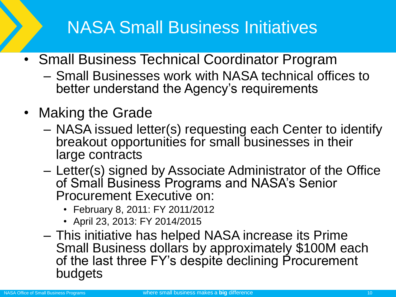#### NASA Small Business Initiatives

- Small Business Technical Coordinator Program
	- Small Businesses work with NASA technical offices to better understand the Agency's requirements
- Making the Grade
	- NASA issued letter(s) requesting each Center to identify breakout opportunities for small businesses in their large contracts
	- Letter(s) signed by Associate Administrator of the Office of Small Business Programs and NASA's Senior Procurement Executive on:
		- February 8, 2011: FY 2011/2012
		- April 23, 2013: FY 2014/2015
	- This initiative has helped NASA increase its Prime Small Business dollars by approximately \$100M each of the last three FY's despite declining Procurement budgets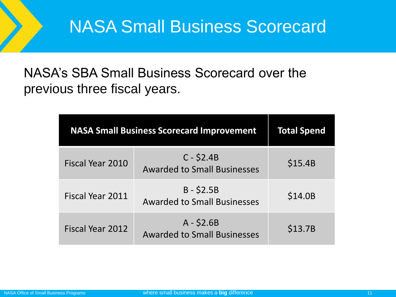#### NASA's SBA Small Business Scorecard over the previous three fiscal years.

| <b>NASA Small Business Scorecard Improvement</b> | <b>Total Spend</b>                                |         |
|--------------------------------------------------|---------------------------------------------------|---------|
| Fiscal Year 2010                                 | $C - $2.4B$<br><b>Awarded to Small Businesses</b> | \$15.4B |
| Fiscal Year 2011                                 | $B - $2.5B$<br><b>Awarded to Small Businesses</b> | \$14.0B |
| Fiscal Year 2012                                 | $A - $2.6B$<br><b>Awarded to Small Businesses</b> | \$13.7B |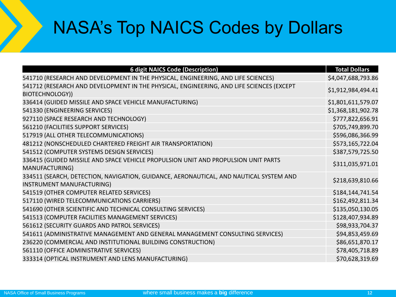#### NASA's Top NAICS Codes by Dollars

| <b>6 digit NAICS Code (Description)</b>                                                                             | <b>Total Dollars</b> |
|---------------------------------------------------------------------------------------------------------------------|----------------------|
| 541710 (RESEARCH AND DEVELOPMENT IN THE PHYSICAL, ENGINEERING, AND LIFE SCIENCES)                                   | \$4,047,688,793.86   |
| 541712 (RESEARCH AND DEVELOPMENT IN THE PHYSICAL, ENGINEERING, AND LIFE SCIENCES (EXCEPT                            | \$1,912,984,494.41   |
| BIOTECHNOLOGY))                                                                                                     |                      |
| 336414 (GUIDED MISSILE AND SPACE VEHICLE MANUFACTURING)                                                             | \$1,801,611,579.07   |
| 541330 (ENGINEERING SERVICES)                                                                                       | \$1,368,181,902.78   |
| 927110 (SPACE RESEARCH AND TECHNOLOGY)                                                                              | \$777,822,656.91     |
| 561210 (FACILITIES SUPPORT SERVICES)                                                                                | \$705,749,899.70     |
| 517919 (ALL OTHER TELECOMMUNICATIONS)                                                                               | \$596,086,366.99     |
| 481212 (NONSCHEDULED CHARTERED FREIGHT AIR TRANSPORTATION)                                                          | \$573,165,722.04     |
| 541512 (COMPUTER SYSTEMS DESIGN SERVICES)                                                                           | \$387,579,725.50     |
| 336415 (GUIDED MISSILE AND SPACE VEHICLE PROPULSION UNIT AND PROPULSION UNIT PARTS<br><b>MANUFACTURING)</b>         | \$311,035,971.01     |
| 334511 (SEARCH, DETECTION, NAVIGATION, GUIDANCE, AERONAUTICAL, AND NAUTICAL SYSTEM AND<br>INSTRUMENT MANUFACTURING) | \$218,639,810.66     |
| 541519 (OTHER COMPUTER RELATED SERVICES)                                                                            | \$184,144,741.54     |
| 517110 (WIRED TELECOMMUNICATIONS CARRIERS)                                                                          | \$162,492,811.34     |
| 541690 (OTHER SCIENTIFIC AND TECHNICAL CONSULTING SERVICES)                                                         | \$135,050,130.05     |
| 541513 (COMPUTER FACILITIES MANAGEMENT SERVICES)                                                                    | \$128,407,934.89     |
| 561612 (SECURITY GUARDS AND PATROL SERVICES)                                                                        | \$98,933,704.37      |
| 541611 (ADMINISTRATIVE MANAGEMENT AND GENERAL MANAGEMENT CONSULTING SERVICES)                                       | \$94,853,459.69      |
| 236220 (COMMERCIAL AND INSTITUTIONAL BUILDING CONSTRUCTION)                                                         | \$86,651,870.17      |
| 561110 (OFFICE ADMINISTRATIVE SERVICES)                                                                             | \$78,405,718.89      |
| 333314 (OPTICAL INSTRUMENT AND LENS MANUFACTURING)                                                                  | \$70,628,319.69      |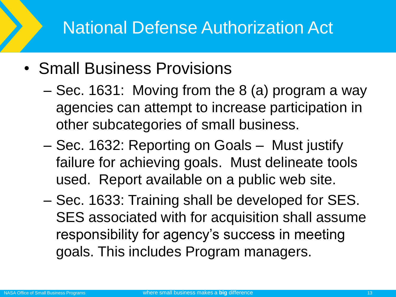#### National Defense Authorization Act

- Small Business Provisions
	- Sec. 1631: Moving from the 8 (a) program a way agencies can attempt to increase participation in other subcategories of small business.
	- Sec. 1632: Reporting on Goals Must justify failure for achieving goals. Must delineate tools used. Report available on a public web site.
	- Sec. 1633: Training shall be developed for SES. SES associated with for acquisition shall assume responsibility for agency's success in meeting goals. This includes Program managers.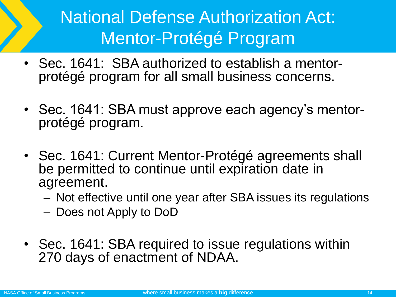## National Defense Authorization Act: Mentor-Protégé Program

- Sec. 1641: SBA authorized to establish a mentorprotégé program for all small business concerns.
- Sec. 1641: SBA must approve each agency's mentorprotégé program.
- Sec. 1641: Current Mentor-Protégé agreements shall be permitted to continue until expiration date in agreement.
	- Not effective until one year after SBA issues its regulations
	- Does not Apply to DoD
- Sec. 1641: SBA required to issue regulations within 270 days of enactment of NDAA.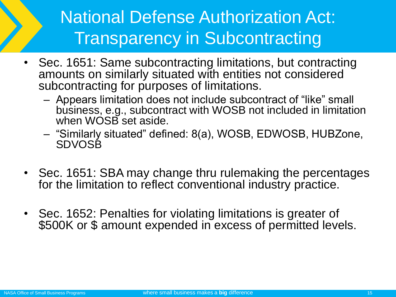## National Defense Authorization Act: Transparency in Subcontracting

- Sec. 1651: Same subcontracting limitations, but contracting amounts on similarly situated with entities not considered subcontracting for purposes of limitations.
	- Appears limitation does not include subcontract of "like" small business, e.g., subcontract with WOSB not included in limitation when WOSB set aside.
	- "Similarly situated" defined: 8(a), WOSB, EDWOSB, HUBZone, SDVOSB
- Sec. 1651: SBA may change thru rulemaking the percentages for the limitation to reflect conventional industry practice.
- Sec. 1652: Penalties for violating limitations is greater of \$500K or \$ amount expended in excess of permitted levels.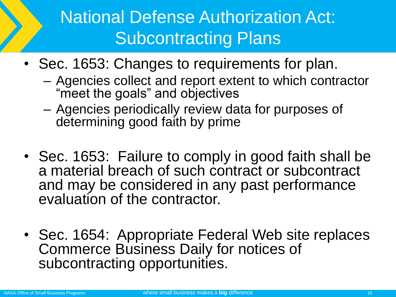# National Defense Authorization Act: Subcontracting Plans

- Sec. 1653: Changes to requirements for plan.
	- Agencies collect and report extent to which contractor "meet the goals" and objectives
	- Agencies periodically review data for purposes of determining good faith by prime
- Sec. 1653: Failure to comply in good faith shall be a material breach of such contract or subcontract and may be considered in any past performance evaluation of the contractor.
- Sec. 1654: Appropriate Federal Web site replaces Commerce Business Daily for notices of subcontracting opportunities.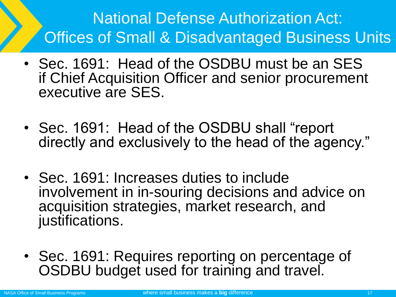#### National Defense Authorization Act: Offices of Small & Disadvantaged Business Units

- Sec. 1691: Head of the OSDBU must be an SES if Chief Acquisition Officer and senior procurement executive are SES.
- Sec. 1691: Head of the OSDBU shall "report directly and exclusively to the head of the agency."
- Sec. 1691: Increases duties to include involvement in in-souring decisions and advice on acquisition strategies, market research, and justifications.
- Sec. 1691: Requires reporting on percentage of OSDBU budget used for training and travel.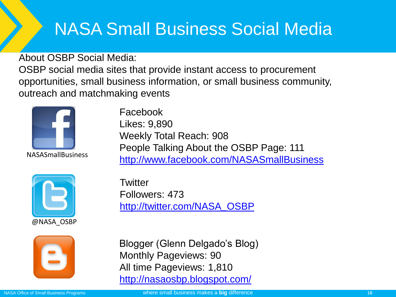## NASA Small Business Social Media

About OSBP Social Media:

OSBP social media sites that provide instant access to procurement opportunities, small business information, or small business community, outreach and matchmaking events



NASASmallBusiness

Facebook Likes: 9,890 Weekly Total Reach: 908 People Talking About the OSBP Page: 111 <http://www.facebook.com/NASASmallBusiness>



**Twitter** Followers: 473 [http](http://nasaosbp.blogspot.com/)[://twitter.com/NASA](http://twitter.com/NASA_OSBP)*[\\_](http://twitter.com/NASA_OSBP)*[OSBP](http://twitter.com/NASA_OSBP)



Blogger (Glenn Delgado's Blog) Monthly Pageviews: 90 All time Pageviews: 1,810 <http://nasaosbp.blogspot.com/>